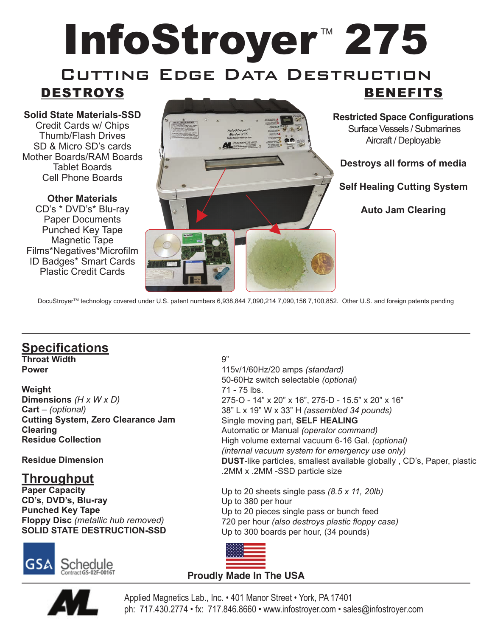# InfoStroyer<sup>™</sup> 275 CUTTING EDGE DATA DESTRUCTION

# DESTROYS

**Solid State Materials-SSD** Credit Cards w/ Chips Thumb/Flash Drives SD & Micro SD's cards Mother Boards/RAM Boards Tablet Boards Cell Phone Boards

**Other Materials** CD's \* DVD's\* Blu-ray Paper Documents Punched Key Tape Magnetic Tape Films\*Negatives\*Microfilm ID Badges\* Smart Cards Plastic Credit Cards



### BENEFITS **Restricted Space Configurations**

 Surface Vessels / Submarines Aircraft / Deployable

**Destroys all forms of media**

**Self Healing Cutting System**

**Auto Jam Clearing**

DocuStroyerTM technology covered under U.S. patent numbers 6,938,844 7,090,214 7,090,156 7,100,852. Other U.S. and foreign patents pending

### **Specifications**

**Throat Width Power**

**Weight Dimensions** *(H x W x D)* **Cart** – *(optional)* **Cutting System, Zero Clearance Jam Clearing Residue Collection**

**Residue Dimension**

#### **Throughput**

**Paper Capacity CD's, DVD's, Blu-ray Punched Key Tape Floppy Disc** *(metallic hub removed)* **SOLID STATE DESTRUCTION-SSD**



#### 9"

115v/1/60Hz/20 amps *(standard)* 50-60Hz switch selectable *(optional)* 71 - 75 lbs. 275-O - 14" x 20" x 16", 275-D - 15.5" x 20" x 16" 38" L x 19" W x 33" H *(assembled 34 pounds)* Single moving part, **SELF HEALING**  Automatic or Manual *(operator command)* High volume external vacuum 6-16 Gal. *(optional) (internal vacuum system for emergency use only)* **DUST**-like particles, smallest available globally , CD's, Paper, plastic .2MM x .2MM -SSD particle size

Up to 20 sheets single pass *(8.5 x 11, 20lb)* Up to 380 per hour Up to 20 pieces single pass or bunch feed 720 per hour *(also destroys plastic floppy case)* Up to 300 boards per hour, (34 pounds)



#### **Proudly Made In The USA**